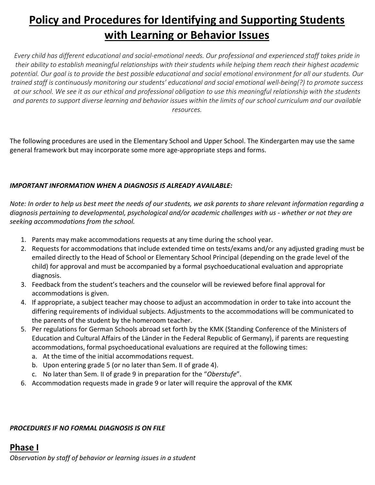# **Policy and Procedures for Identifying and Supporting Students with Learning or Behavior Issues**

*Every child has different educational and social-emotional needs. Our professional and experienced staff takes pride in their ability to establish meaningful relationships with their students while helping them reach their highest academic potential. Our goal is to provide the best possible educational and social emotional environment for all our students. Our trained staff is continuously monitoring our students' educational and social emotional well-being(?) to promote success at our school. We see it as our ethical and professional obligation to use this meaningful relationship with the students and parents to support diverse learning and behavior issues within the limits of our school curriculum and our available resources.*

The following procedures are used in the Elementary School and Upper School. The Kindergarten may use the same general framework but may incorporate some more age-appropriate steps and forms.

### *IMPORTANT INFORMATION WHEN A DIAGNOSIS IS ALREADY AVAILABLE:*

*Note: In order to help us best meet the needs of our students, we ask parents to share relevant information regarding a diagnosis pertaining to developmental, psychological and/or academic challenges with us - whether or not they are seeking accommodations from the school.*

- 1. Parents may make accommodations requests at any time during the school year.
- 2. Requests for accommodations that include extended time on tests/exams and/or any adjusted grading must be emailed directly to the Head of School or Elementary School Principal (depending on the grade level of the child) for approval and must be accompanied by a formal psychoeducational evaluation and appropriate diagnosis.
- 3. Feedback from the student's teachers and the counselor will be reviewed before final approval for accommodations is given.
- 4. If appropriate, a subject teacher may choose to adjust an accommodation in order to take into account the differing requirements of individual subjects. Adjustments to the accommodations will be communicated to the parents of the student by the homeroom teacher.
- 5. Per regulations for German Schools abroad set forth by the KMK (Standing Conference of the Ministers of Education and Cultural Affairs of the Länder in the Federal Republic of Germany), if parents are requesting accommodations, formal psychoeducational evaluations are required at the following times:
	- a. At the time of the initial accommodations request.
	- b. Upon entering grade 5 (or no later than Sem. II of grade 4).
	- c. No later than Sem. II of grade 9 in preparation for the "*Oberstufe*".
- 6. Accommodation requests made in grade 9 or later will require the approval of the KMK

*PROCEDURES IF NO FORMAL DIAGNOSIS IS ON FILE*

# **Phase I**

*Observation by staff of behavior or learning issues in a student*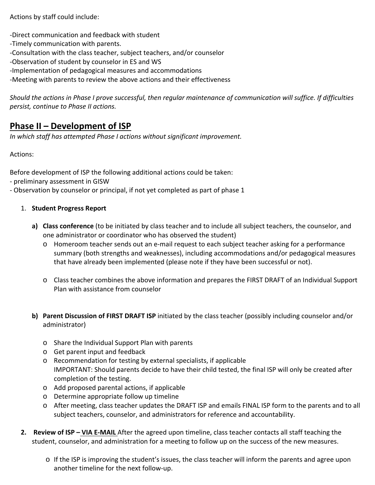Actions by staff could include:

-Direct communication and feedback with student

- -Timely communication with parents.
- -Consultation with the class teacher, subject teachers, and/or counselor
- -Observation of student by counselor in ES and WS
- -Implementation of pedagogical measures and accommodations

-Meeting with parents to review the above actions and their effectiveness

*Should the actions in Phase I prove successful, then regular maintenance of communication will suffice. If difficulties persist, continue to Phase II actions.*

# **Phase II – Development of ISP**

*In which staff has attempted Phase I actions without significant improvement.*

Actions:

Before development of ISP the following additional actions could be taken:

- preliminary assessment in GISW
- Observation by counselor or principal, if not yet completed as part of phase 1
	- 1. **Student Progress Report**
		- **a) Class conference** (to be initiated by class teacher and to include all subject teachers, the counselor, and one administrator or coordinator who has observed the student)
			- o Homeroom teacher sends out an e-mail request to each subject teacher asking for a performance summary (both strengths and weaknesses), including accommodations and/or pedagogical measures that have already been implemented (please note if they have been successful or not).
			- o Class teacher combines the above information and prepares the FIRST DRAFT of an Individual Support Plan with assistance from counselor
		- **b) Parent Discussion of FIRST DRAFT ISP** initiated by the class teacher (possibly including counselor and/or administrator)
			- o Share the Individual Support Plan with parents
			- o Get parent input and feedback
			- o Recommendation for testing by external specialists, if applicable IMPORTANT: Should parents decide to have their child tested, the final ISP will only be created after completion of the testing.
			- o Add proposed parental actions, if applicable
			- o Determine appropriate follow up timeline
			- o After meeting, class teacher updates the DRAFT ISP and emails FINAL ISP form to the parents and to all subject teachers, counselor, and administrators for reference and accountability.
	- **2. Review of ISP – VIA E-MAIL** After the agreed upon timeline, class teacher contacts all staff teaching the student, counselor, and administration for a meeting to follow up on the success of the new measures.
		- o If the ISP is improving the student's issues, the class teacher will inform the parents and agree upon another timeline for the next follow-up.